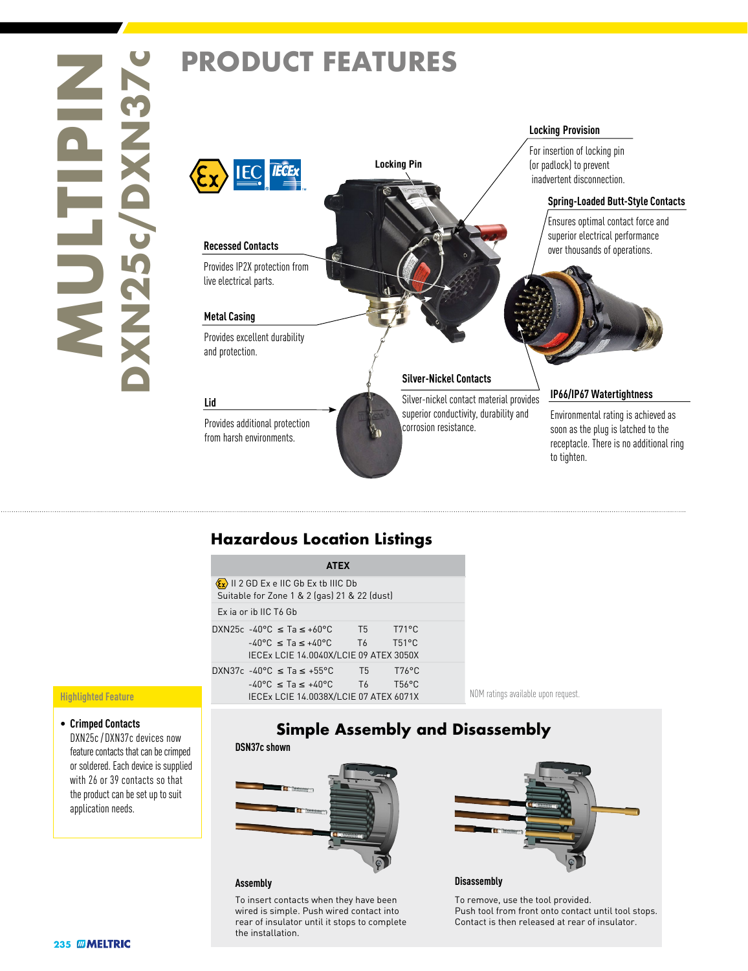# **235 MIghlighted**<br> **235 MM256** /<br> **245 Crimped**<br> **245 MME**



# **Hazardous Location Listings**

| $\langle \mathbf{\hat{x}} \rangle$ II 2 GD Ex e IIC Gb Ex tb IIIC Db<br>Suitable for Zone 1 & 2 (gas) 21 & 22 (dust)<br>Ex ja or ib IIC T6 Gb<br>$T71^{\circ}C$<br>T5<br>$T51^{\circ}$ C<br>T <sub>6</sub><br>$-40^{\circ}$ C < Ta < $+40^{\circ}$ C<br>IECEX LCIE 14.0040X/LCIE 09 ATEX 3050X<br>$T76^{\circ}C$<br>T5 =<br>T <sub>6</sub><br>$T56^{\circ}C$<br>$-40^{\circ}$ C < Ta < $+40^{\circ}$ C | <b>ATEX</b>                            |
|--------------------------------------------------------------------------------------------------------------------------------------------------------------------------------------------------------------------------------------------------------------------------------------------------------------------------------------------------------------------------------------------------------|----------------------------------------|
|                                                                                                                                                                                                                                                                                                                                                                                                        |                                        |
|                                                                                                                                                                                                                                                                                                                                                                                                        |                                        |
|                                                                                                                                                                                                                                                                                                                                                                                                        | DXN25c -40°C $\leq$ Ta $\leq$ +60°C    |
|                                                                                                                                                                                                                                                                                                                                                                                                        |                                        |
|                                                                                                                                                                                                                                                                                                                                                                                                        | DXN37c -40°C $\leq$ Ta $\leq$ +55°C    |
|                                                                                                                                                                                                                                                                                                                                                                                                        | IECEX LCIE 14.0038X/LCIE 07 ATEX 6071X |

### upon request.

### **Highlighted Feature**

• **Crimped Contacts** DXN25c / DXN37c devices now feature contacts that can be crimped or soldered. Each device is supplied with 26 or 39 contacts so that the product can be set up to suit application needs.

## **Simple Assembly and Disassembly**



To insert contacts when they have been wired is simple. Push wired contact into rear of insulator until it stops to complete the installation.



### **Assembly Disassembly**

To remove, use the tool provided. Push tool from front onto contact until tool stops. Contact is then released at rear of insulator.